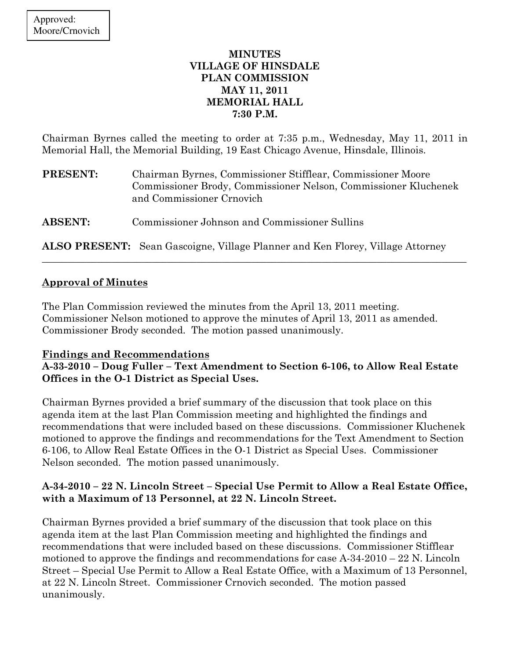# MINUTES VILLAGE OF HINSDALE PLAN COMMISSION MAY 11, 2011 MEMORIAL HALL 7:30 P.M.

Chairman Byrnes called the meeting to order at 7:35 p.m., Wednesday, May 11, 2011 in Memorial Hall, the Memorial Building, 19 East Chicago Avenue, Hinsdale, Illinois.

| <b>PRESENT:</b> | Chairman Byrnes, Commissioner Stifflear, Commissioner Moore<br>Commissioner Brody, Commissioner Nelson, Commissioner Kluchenek<br>and Commissioner Crnovich |
|-----------------|-------------------------------------------------------------------------------------------------------------------------------------------------------------|
| <b>ABSENT:</b>  | Commissioner Johnson and Commissioner Sullins                                                                                                               |

ALSO PRESENT: Sean Gascoigne, Village Planner and Ken Florey, Village Attorney

\_\_\_\_\_\_\_\_\_\_\_\_\_\_\_\_\_\_\_\_\_\_\_\_\_\_\_\_\_\_\_\_\_\_\_\_\_\_\_\_\_\_\_\_\_\_\_\_\_\_\_\_\_\_\_\_\_\_\_\_\_\_\_\_\_\_\_\_\_\_\_\_\_\_\_\_\_\_\_\_\_\_\_\_\_

### Approval of Minutes

The Plan Commission reviewed the minutes from the April 13, 2011 meeting. Commissioner Nelson motioned to approve the minutes of April 13, 2011 as amended. Commissioner Brody seconded. The motion passed unanimously.

### Findings and Recommendations

# A-33-2010 – Doug Fuller – Text Amendment to Section 6-106, to Allow Real Estate Offices in the O-1 District as Special Uses.

Chairman Byrnes provided a brief summary of the discussion that took place on this agenda item at the last Plan Commission meeting and highlighted the findings and recommendations that were included based on these discussions. Commissioner Kluchenek motioned to approve the findings and recommendations for the Text Amendment to Section 6-106, to Allow Real Estate Offices in the O-1 District as Special Uses. Commissioner Nelson seconded. The motion passed unanimously.

# A-34-2010 – 22 N. Lincoln Street – Special Use Permit to Allow a Real Estate Office, with a Maximum of 13 Personnel, at 22 N. Lincoln Street.

Chairman Byrnes provided a brief summary of the discussion that took place on this agenda item at the last Plan Commission meeting and highlighted the findings and recommendations that were included based on these discussions. Commissioner Stifflear motioned to approve the findings and recommendations for case  $A-34-2010-22$  N. Lincoln Street – Special Use Permit to Allow a Real Estate Office, with a Maximum of 13 Personnel, at 22 N. Lincoln Street. Commissioner Crnovich seconded. The motion passed unanimously.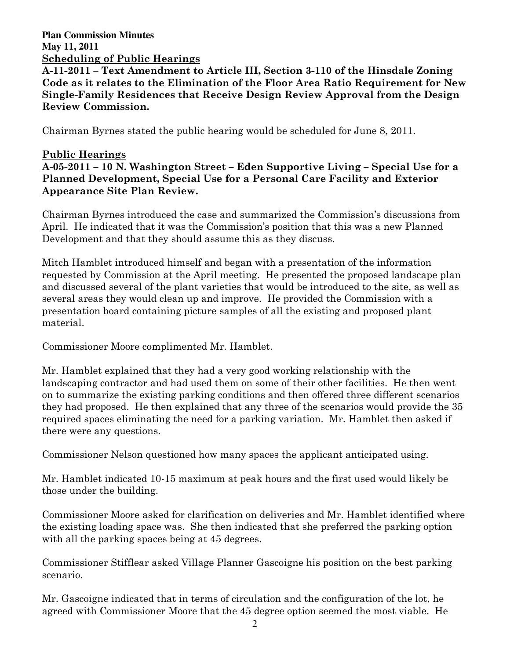# **Plan Commission Minutes May 11, 2011**  Scheduling of Public Hearings

A-11-2011 – Text Amendment to Article III, Section 3-110 of the Hinsdale Zoning Code as it relates to the Elimination of the Floor Area Ratio Requirement for New Single-Family Residences that Receive Design Review Approval from the Design Review Commission.

Chairman Byrnes stated the public hearing would be scheduled for June 8, 2011.

# Public Hearings

A-05-2011 – 10 N. Washington Street – Eden Supportive Living – Special Use for a Planned Development, Special Use for a Personal Care Facility and Exterior Appearance Site Plan Review.

Chairman Byrnes introduced the case and summarized the Commission's discussions from April. He indicated that it was the Commission's position that this was a new Planned Development and that they should assume this as they discuss.

Mitch Hamblet introduced himself and began with a presentation of the information requested by Commission at the April meeting. He presented the proposed landscape plan and discussed several of the plant varieties that would be introduced to the site, as well as several areas they would clean up and improve. He provided the Commission with a presentation board containing picture samples of all the existing and proposed plant material.

Commissioner Moore complimented Mr. Hamblet.

Mr. Hamblet explained that they had a very good working relationship with the landscaping contractor and had used them on some of their other facilities. He then went on to summarize the existing parking conditions and then offered three different scenarios they had proposed. He then explained that any three of the scenarios would provide the 35 required spaces eliminating the need for a parking variation. Mr. Hamblet then asked if there were any questions.

Commissioner Nelson questioned how many spaces the applicant anticipated using.

Mr. Hamblet indicated 10-15 maximum at peak hours and the first used would likely be those under the building.

Commissioner Moore asked for clarification on deliveries and Mr. Hamblet identified where the existing loading space was. She then indicated that she preferred the parking option with all the parking spaces being at 45 degrees.

Commissioner Stifflear asked Village Planner Gascoigne his position on the best parking scenario.

Mr. Gascoigne indicated that in terms of circulation and the configuration of the lot, he agreed with Commissioner Moore that the 45 degree option seemed the most viable. He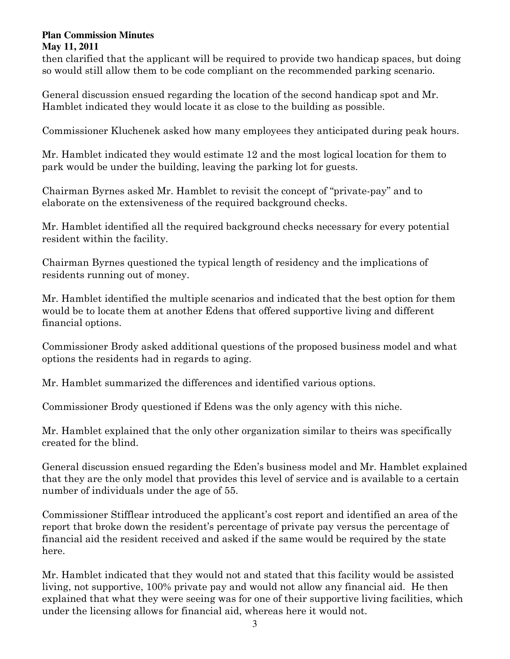then clarified that the applicant will be required to provide two handicap spaces, but doing so would still allow them to be code compliant on the recommended parking scenario.

General discussion ensued regarding the location of the second handicap spot and Mr. Hamblet indicated they would locate it as close to the building as possible.

Commissioner Kluchenek asked how many employees they anticipated during peak hours.

Mr. Hamblet indicated they would estimate 12 and the most logical location for them to park would be under the building, leaving the parking lot for guests.

Chairman Byrnes asked Mr. Hamblet to revisit the concept of "private-pay" and to elaborate on the extensiveness of the required background checks.

Mr. Hamblet identified all the required background checks necessary for every potential resident within the facility.

Chairman Byrnes questioned the typical length of residency and the implications of residents running out of money.

Mr. Hamblet identified the multiple scenarios and indicated that the best option for them would be to locate them at another Edens that offered supportive living and different financial options.

Commissioner Brody asked additional questions of the proposed business model and what options the residents had in regards to aging.

Mr. Hamblet summarized the differences and identified various options.

Commissioner Brody questioned if Edens was the only agency with this niche.

Mr. Hamblet explained that the only other organization similar to theirs was specifically created for the blind.

General discussion ensued regarding the Eden's business model and Mr. Hamblet explained that they are the only model that provides this level of service and is available to a certain number of individuals under the age of 55.

Commissioner Stifflear introduced the applicant's cost report and identified an area of the report that broke down the resident's percentage of private pay versus the percentage of financial aid the resident received and asked if the same would be required by the state here.

Mr. Hamblet indicated that they would not and stated that this facility would be assisted living, not supportive, 100% private pay and would not allow any financial aid. He then explained that what they were seeing was for one of their supportive living facilities, which under the licensing allows for financial aid, whereas here it would not.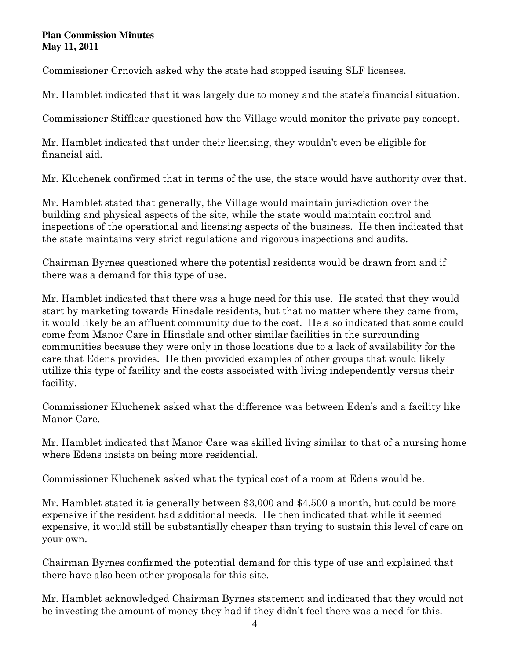Commissioner Crnovich asked why the state had stopped issuing SLF licenses.

Mr. Hamblet indicated that it was largely due to money and the state's financial situation.

Commissioner Stifflear questioned how the Village would monitor the private pay concept.

Mr. Hamblet indicated that under their licensing, they wouldn't even be eligible for financial aid.

Mr. Kluchenek confirmed that in terms of the use, the state would have authority over that.

Mr. Hamblet stated that generally, the Village would maintain jurisdiction over the building and physical aspects of the site, while the state would maintain control and inspections of the operational and licensing aspects of the business. He then indicated that the state maintains very strict regulations and rigorous inspections and audits.

Chairman Byrnes questioned where the potential residents would be drawn from and if there was a demand for this type of use.

Mr. Hamblet indicated that there was a huge need for this use. He stated that they would start by marketing towards Hinsdale residents, but that no matter where they came from, it would likely be an affluent community due to the cost. He also indicated that some could come from Manor Care in Hinsdale and other similar facilities in the surrounding communities because they were only in those locations due to a lack of availability for the care that Edens provides. He then provided examples of other groups that would likely utilize this type of facility and the costs associated with living independently versus their facility.

Commissioner Kluchenek asked what the difference was between Eden's and a facility like Manor Care.

Mr. Hamblet indicated that Manor Care was skilled living similar to that of a nursing home where Edens insists on being more residential.

Commissioner Kluchenek asked what the typical cost of a room at Edens would be.

Mr. Hamblet stated it is generally between \$3,000 and \$4,500 a month, but could be more expensive if the resident had additional needs. He then indicated that while it seemed expensive, it would still be substantially cheaper than trying to sustain this level of care on your own.

Chairman Byrnes confirmed the potential demand for this type of use and explained that there have also been other proposals for this site.

Mr. Hamblet acknowledged Chairman Byrnes statement and indicated that they would not be investing the amount of money they had if they didn't feel there was a need for this.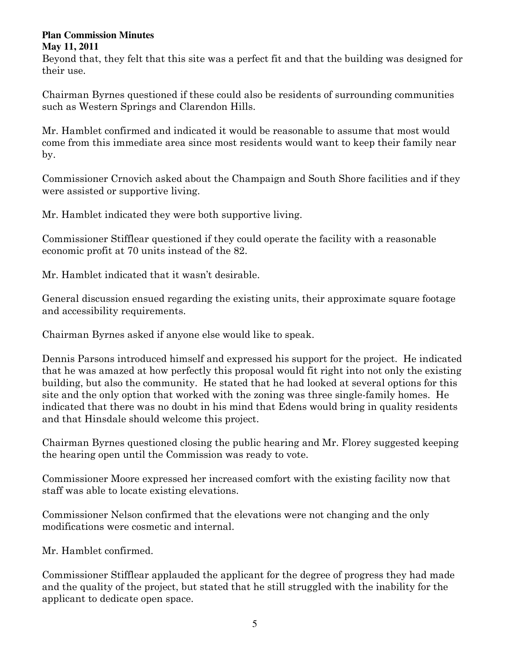Beyond that, they felt that this site was a perfect fit and that the building was designed for their use.

Chairman Byrnes questioned if these could also be residents of surrounding communities such as Western Springs and Clarendon Hills.

Mr. Hamblet confirmed and indicated it would be reasonable to assume that most would come from this immediate area since most residents would want to keep their family near by.

Commissioner Crnovich asked about the Champaign and South Shore facilities and if they were assisted or supportive living.

Mr. Hamblet indicated they were both supportive living.

Commissioner Stifflear questioned if they could operate the facility with a reasonable economic profit at 70 units instead of the 82.

Mr. Hamblet indicated that it wasn't desirable.

General discussion ensued regarding the existing units, their approximate square footage and accessibility requirements.

Chairman Byrnes asked if anyone else would like to speak.

Dennis Parsons introduced himself and expressed his support for the project. He indicated that he was amazed at how perfectly this proposal would fit right into not only the existing building, but also the community. He stated that he had looked at several options for this site and the only option that worked with the zoning was three single-family homes. He indicated that there was no doubt in his mind that Edens would bring in quality residents and that Hinsdale should welcome this project.

Chairman Byrnes questioned closing the public hearing and Mr. Florey suggested keeping the hearing open until the Commission was ready to vote.

Commissioner Moore expressed her increased comfort with the existing facility now that staff was able to locate existing elevations.

Commissioner Nelson confirmed that the elevations were not changing and the only modifications were cosmetic and internal.

Mr. Hamblet confirmed.

Commissioner Stifflear applauded the applicant for the degree of progress they had made and the quality of the project, but stated that he still struggled with the inability for the applicant to dedicate open space.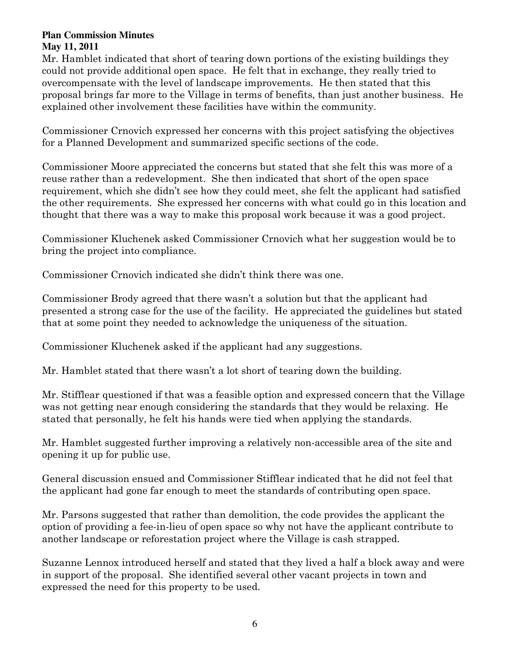Mr. Hamblet indicated that short of tearing down portions of the existing buildings they could not provide additional open space. He felt that in exchange, they really tried to overcompensate with the level of landscape improvements. He then stated that this proposal brings far more to the Village in terms of benefits, than just another business. He explained other involvement these facilities have within the community.

Commissioner Crnovich expressed her concerns with this project satisfying the objectives for a Planned Development and summarized specific sections of the code.

Commissioner Moore appreciated the concerns but stated that she felt this was more of a reuse rather than a redevelopment. She then indicated that short of the open space requirement, which she didn't see how they could meet, she felt the applicant had satisfied the other requirements. She expressed her concerns with what could go in this location and thought that there was a way to make this proposal work because it was a good project.

Commissioner Kluchenek asked Commissioner Crnovich what her suggestion would be to bring the project into compliance.

Commissioner Crnovich indicated she didn't think there was one.

Commissioner Brody agreed that there wasn't a solution but that the applicant had presented a strong case for the use of the facility. He appreciated the guidelines but stated that at some point they needed to acknowledge the uniqueness of the situation.

Commissioner Kluchenek asked if the applicant had any suggestions.

Mr. Hamblet stated that there wasn't a lot short of tearing down the building.

Mr. Stifflear questioned if that was a feasible option and expressed concern that the Village was not getting near enough considering the standards that they would be relaxing. He stated that personally, he felt his hands were tied when applying the standards.

Mr. Hamblet suggested further improving a relatively non-accessible area of the site and opening it up for public use.

General discussion ensued and Commissioner Stifflear indicated that he did not feel that the applicant had gone far enough to meet the standards of contributing open space.

Mr. Parsons suggested that rather than demolition, the code provides the applicant the option of providing a fee-in-lieu of open space so why not have the applicant contribute to another landscape or reforestation project where the Village is cash strapped.

Suzanne Lennox introduced herself and stated that they lived a half a block away and were in support of the proposal. She identified several other vacant projects in town and expressed the need for this property to be used.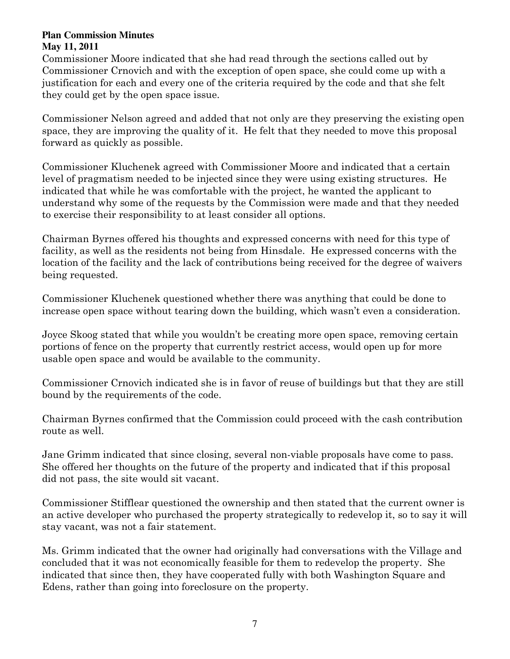Commissioner Moore indicated that she had read through the sections called out by Commissioner Crnovich and with the exception of open space, she could come up with a justification for each and every one of the criteria required by the code and that she felt they could get by the open space issue.

Commissioner Nelson agreed and added that not only are they preserving the existing open space, they are improving the quality of it. He felt that they needed to move this proposal forward as quickly as possible.

Commissioner Kluchenek agreed with Commissioner Moore and indicated that a certain level of pragmatism needed to be injected since they were using existing structures. He indicated that while he was comfortable with the project, he wanted the applicant to understand why some of the requests by the Commission were made and that they needed to exercise their responsibility to at least consider all options.

Chairman Byrnes offered his thoughts and expressed concerns with need for this type of facility, as well as the residents not being from Hinsdale. He expressed concerns with the location of the facility and the lack of contributions being received for the degree of waivers being requested.

Commissioner Kluchenek questioned whether there was anything that could be done to increase open space without tearing down the building, which wasn't even a consideration.

Joyce Skoog stated that while you wouldn't be creating more open space, removing certain portions of fence on the property that currently restrict access, would open up for more usable open space and would be available to the community.

Commissioner Crnovich indicated she is in favor of reuse of buildings but that they are still bound by the requirements of the code.

Chairman Byrnes confirmed that the Commission could proceed with the cash contribution route as well.

Jane Grimm indicated that since closing, several non-viable proposals have come to pass. She offered her thoughts on the future of the property and indicated that if this proposal did not pass, the site would sit vacant.

Commissioner Stifflear questioned the ownership and then stated that the current owner is an active developer who purchased the property strategically to redevelop it, so to say it will stay vacant, was not a fair statement.

Ms. Grimm indicated that the owner had originally had conversations with the Village and concluded that it was not economically feasible for them to redevelop the property. She indicated that since then, they have cooperated fully with both Washington Square and Edens, rather than going into foreclosure on the property.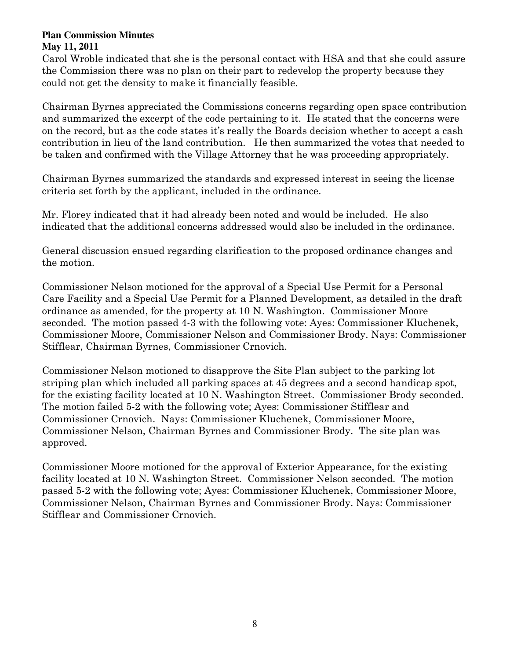Carol Wroble indicated that she is the personal contact with HSA and that she could assure the Commission there was no plan on their part to redevelop the property because they could not get the density to make it financially feasible.

Chairman Byrnes appreciated the Commissions concerns regarding open space contribution and summarized the excerpt of the code pertaining to it. He stated that the concerns were on the record, but as the code states it's really the Boards decision whether to accept a cash contribution in lieu of the land contribution. He then summarized the votes that needed to be taken and confirmed with the Village Attorney that he was proceeding appropriately.

Chairman Byrnes summarized the standards and expressed interest in seeing the license criteria set forth by the applicant, included in the ordinance.

Mr. Florey indicated that it had already been noted and would be included. He also indicated that the additional concerns addressed would also be included in the ordinance.

General discussion ensued regarding clarification to the proposed ordinance changes and the motion.

Commissioner Nelson motioned for the approval of a Special Use Permit for a Personal Care Facility and a Special Use Permit for a Planned Development, as detailed in the draft ordinance as amended, for the property at 10 N. Washington. Commissioner Moore seconded. The motion passed 4-3 with the following vote: Ayes: Commissioner Kluchenek, Commissioner Moore, Commissioner Nelson and Commissioner Brody. Nays: Commissioner Stifflear, Chairman Byrnes, Commissioner Crnovich.

Commissioner Nelson motioned to disapprove the Site Plan subject to the parking lot striping plan which included all parking spaces at 45 degrees and a second handicap spot, for the existing facility located at 10 N. Washington Street. Commissioner Brody seconded. The motion failed 5-2 with the following vote; Ayes: Commissioner Stifflear and Commissioner Crnovich. Nays: Commissioner Kluchenek, Commissioner Moore, Commissioner Nelson, Chairman Byrnes and Commissioner Brody. The site plan was approved.

Commissioner Moore motioned for the approval of Exterior Appearance, for the existing facility located at 10 N. Washington Street. Commissioner Nelson seconded. The motion passed 5-2 with the following vote; Ayes: Commissioner Kluchenek, Commissioner Moore, Commissioner Nelson, Chairman Byrnes and Commissioner Brody. Nays: Commissioner Stifflear and Commissioner Crnovich.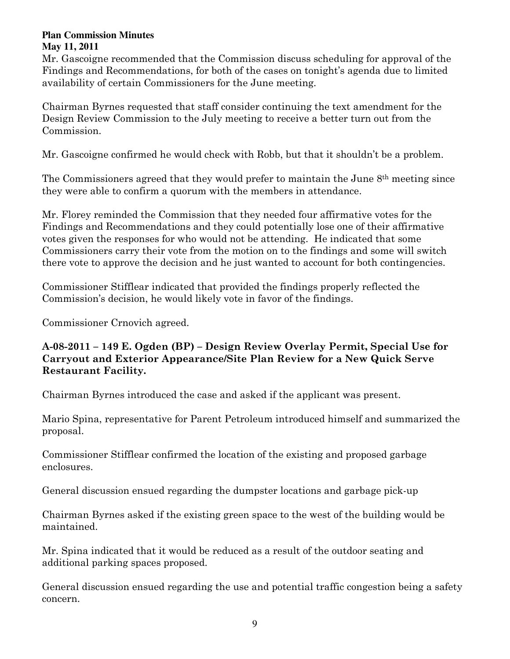Mr. Gascoigne recommended that the Commission discuss scheduling for approval of the Findings and Recommendations, for both of the cases on tonight's agenda due to limited availability of certain Commissioners for the June meeting.

Chairman Byrnes requested that staff consider continuing the text amendment for the Design Review Commission to the July meeting to receive a better turn out from the Commission.

Mr. Gascoigne confirmed he would check with Robb, but that it shouldn't be a problem.

The Commissioners agreed that they would prefer to maintain the June 8th meeting since they were able to confirm a quorum with the members in attendance.

Mr. Florey reminded the Commission that they needed four affirmative votes for the Findings and Recommendations and they could potentially lose one of their affirmative votes given the responses for who would not be attending. He indicated that some Commissioners carry their vote from the motion on to the findings and some will switch there vote to approve the decision and he just wanted to account for both contingencies.

Commissioner Stifflear indicated that provided the findings properly reflected the Commission's decision, he would likely vote in favor of the findings.

Commissioner Crnovich agreed.

# A-08-2011 – 149 E. Ogden (BP) – Design Review Overlay Permit, Special Use for Carryout and Exterior Appearance/Site Plan Review for a New Quick Serve Restaurant Facility.

Chairman Byrnes introduced the case and asked if the applicant was present.

Mario Spina, representative for Parent Petroleum introduced himself and summarized the proposal.

Commissioner Stifflear confirmed the location of the existing and proposed garbage enclosures.

General discussion ensued regarding the dumpster locations and garbage pick-up

Chairman Byrnes asked if the existing green space to the west of the building would be maintained.

Mr. Spina indicated that it would be reduced as a result of the outdoor seating and additional parking spaces proposed.

General discussion ensued regarding the use and potential traffic congestion being a safety concern.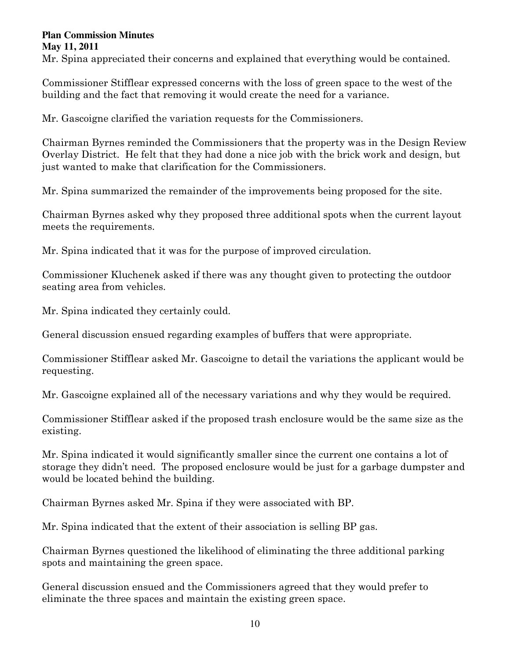Mr. Spina appreciated their concerns and explained that everything would be contained.

Commissioner Stifflear expressed concerns with the loss of green space to the west of the building and the fact that removing it would create the need for a variance.

Mr. Gascoigne clarified the variation requests for the Commissioners.

Chairman Byrnes reminded the Commissioners that the property was in the Design Review Overlay District. He felt that they had done a nice job with the brick work and design, but just wanted to make that clarification for the Commissioners.

Mr. Spina summarized the remainder of the improvements being proposed for the site.

Chairman Byrnes asked why they proposed three additional spots when the current layout meets the requirements.

Mr. Spina indicated that it was for the purpose of improved circulation.

Commissioner Kluchenek asked if there was any thought given to protecting the outdoor seating area from vehicles.

Mr. Spina indicated they certainly could.

General discussion ensued regarding examples of buffers that were appropriate.

Commissioner Stifflear asked Mr. Gascoigne to detail the variations the applicant would be requesting.

Mr. Gascoigne explained all of the necessary variations and why they would be required.

Commissioner Stifflear asked if the proposed trash enclosure would be the same size as the existing.

Mr. Spina indicated it would significantly smaller since the current one contains a lot of storage they didn't need. The proposed enclosure would be just for a garbage dumpster and would be located behind the building.

Chairman Byrnes asked Mr. Spina if they were associated with BP.

Mr. Spina indicated that the extent of their association is selling BP gas.

Chairman Byrnes questioned the likelihood of eliminating the three additional parking spots and maintaining the green space.

General discussion ensued and the Commissioners agreed that they would prefer to eliminate the three spaces and maintain the existing green space.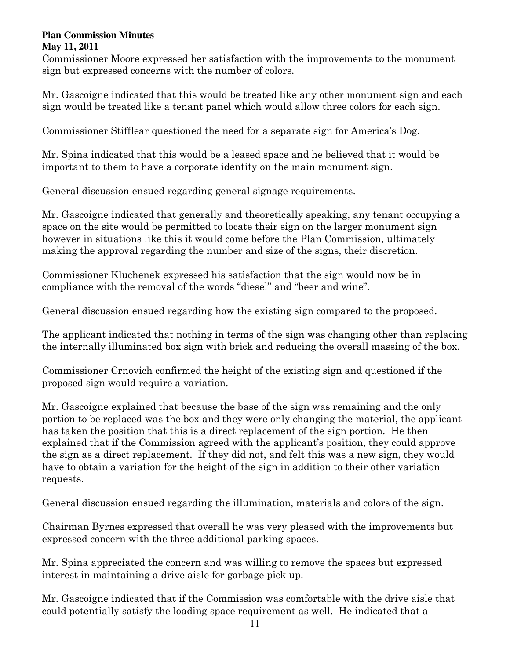Commissioner Moore expressed her satisfaction with the improvements to the monument sign but expressed concerns with the number of colors.

Mr. Gascoigne indicated that this would be treated like any other monument sign and each sign would be treated like a tenant panel which would allow three colors for each sign.

Commissioner Stifflear questioned the need for a separate sign for America's Dog.

Mr. Spina indicated that this would be a leased space and he believed that it would be important to them to have a corporate identity on the main monument sign.

General discussion ensued regarding general signage requirements.

Mr. Gascoigne indicated that generally and theoretically speaking, any tenant occupying a space on the site would be permitted to locate their sign on the larger monument sign however in situations like this it would come before the Plan Commission, ultimately making the approval regarding the number and size of the signs, their discretion.

Commissioner Kluchenek expressed his satisfaction that the sign would now be in compliance with the removal of the words "diesel" and "beer and wine".

General discussion ensued regarding how the existing sign compared to the proposed.

The applicant indicated that nothing in terms of the sign was changing other than replacing the internally illuminated box sign with brick and reducing the overall massing of the box.

Commissioner Crnovich confirmed the height of the existing sign and questioned if the proposed sign would require a variation.

Mr. Gascoigne explained that because the base of the sign was remaining and the only portion to be replaced was the box and they were only changing the material, the applicant has taken the position that this is a direct replacement of the sign portion. He then explained that if the Commission agreed with the applicant's position, they could approve the sign as a direct replacement. If they did not, and felt this was a new sign, they would have to obtain a variation for the height of the sign in addition to their other variation requests.

General discussion ensued regarding the illumination, materials and colors of the sign.

Chairman Byrnes expressed that overall he was very pleased with the improvements but expressed concern with the three additional parking spaces.

Mr. Spina appreciated the concern and was willing to remove the spaces but expressed interest in maintaining a drive aisle for garbage pick up.

Mr. Gascoigne indicated that if the Commission was comfortable with the drive aisle that could potentially satisfy the loading space requirement as well. He indicated that a